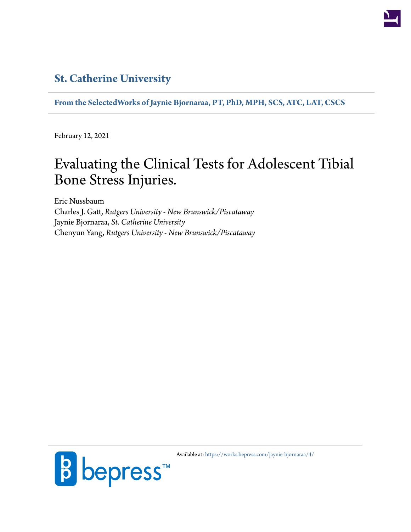### **[St. Catherine University](http://www.stkate.edu/)**

**[From the SelectedWorks of Jaynie Bjornaraa, PT, PhD, MPH, SCS, ATC, LAT, CSCS](https://works.bepress.com/jaynie-bjornaraa/)**

February 12, 2021

## Evaluating the Clinical Tests for Adolescent Tibial Bone Stress Injuries.

Eric Nussbaum Charles J. Gatt, *Rutgers University - New Brunswick/Piscataway* Jaynie Bjornaraa, *St. Catherine University* Chenyun Yang, *Rutgers University - New Brunswick/Piscataway*



Available at: <https://works.bepress.com/jaynie-bjornaraa/4/>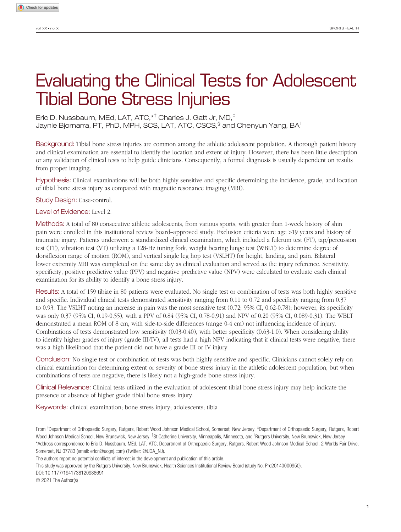# Evaluating the Clinical Tests for Adolescent Tibial Bone Stress Injuries

Eric D. Nussbaum, MEd, LAT, ATC,\*† Charles J. Gatt Jr, MD,‡ Jaynie Bjornarra, PT, PhD, MPH, SCS, LAT, ATC, CSCS, $^\S$  and Chenyun Yang, BA $^\parallel$ 

Background: Tibial bone stress injuries are common among the athletic adolescent population. A thorough patient history and clinical examination are essential to identify the location and extent of injury. However, there has been little description or any validation of clinical tests to help guide clinicians. Consequently, a formal diagnosis is usually dependent on results from proper imaging.

Hypothesis: Clinical examinations will be both highly sensitive and specific determining the incidence, grade, and location of tibial bone stress injury as compared with magnetic resonance imaging (MRI).

Study Design: Case-control.

Level of Evidence: Level 2.

Methods: A total of 80 consecutive athletic adolescents, from various sports, with greater than 1-week history of shin pain were enrolled in this institutional review board–approved study. Exclusion criteria were age >19 years and history of traumatic injury. Patients underwent a standardized clinical examination, which included a fulcrum test (FT), tap/percussion test (TT), vibration test (VT) utilizing a 128-Hz tuning fork, weight bearing lunge test (WBLT) to determine degree of dorsiflexion range of motion (ROM), and vertical single leg hop test (VSLHT) for height, landing, and pain. Bilateral lower extremity MRI was completed on the same day as clinical evaluation and served as the injury reference. Sensitivity, specificity, positive predictive value (PPV) and negative predictive value (NPV) were calculated to evaluate each clinical examination for its ability to identify a bone stress injury.

Results: A total of 159 tibiae in 80 patients were evaluated. No single test or combination of tests was both highly sensitive and specific. Individual clinical tests demonstrated sensitivity ranging from 0.11 to 0.72 and specificity ranging from 0.37 to 0.93. The VSLHT noting an increase in pain was the most sensitive test (0.72; 95% CI, 0.62-0.78); however, its specificity was only 0.37 (95% CI, 0.19-0.55), with a PPV of 0.84 (95% CI, 0.78-0.91) and NPV of 0.20 (95% CI, 0.089-0.31). The WBLT demonstrated a mean ROM of 8 cm, with side-to-side differences (range 0-4 cm) not influencing incidence of injury. Combinations of tests demonstrated low sensitivity (0.03-0.40), with better specificity (0.63-1.0). When considering ability to identify higher grades of injury (grade III/IV), all tests had a high NPV indicating that if clinical tests were negative, there was a high likelihood that the patient did not have a grade III or IV injury.

Conclusion: No single test or combination of tests was both highly sensitive and specific. Clinicians cannot solely rely on clinical examination for determining extent or severity of bone stress injury in the athletic adolescent population, but when combinations of tests are negative, there is likely not a high-grade bone stress injury.

Clinical Relevance: Clinical tests utilized in the evaluation of adolescent tibial bone stress injury may help indicate the presence or absence of higher grade tibial bone stress injury.

Keywords: clinical examination; bone stress injury; adolescents; tibia

From <sup>†</sup>Department of Orthopaedic Surgery, Rutgers, Robert Wood Johnson Medical School, Somerset, New Jersey, <sup>‡</sup>Department of Orthopaedic Surgery, Rutgers, Robert Wood Johnson Medical School, New Brunswick, New Jersey, <sup>s</sup>St Catherine University, Minneapolis, Minnesota, and <sup>li</sup>Rutgers University, New Brunswick, New Jersey \*Address correspondence to Eric D. Nussbaum, MEd, LAT, ATC, Department of Orthopaedic Surgery, Rutgers, Robert Wood Johnson Medical School, 2 Worlds Fair Drive, Somerset, NJ 07783 (email: ericn@uognj.com) (Twitter: @UOA\_NJ).

The authors report no potential conflicts of interest in the development and publication of this article.

This study was approved by the Rutgers University, New Brunswick, Health Sciences Institutional Review Board (study No. Pro20140000950).

DOI: 10.1177/1941738120988691

© 2021 The Author(s)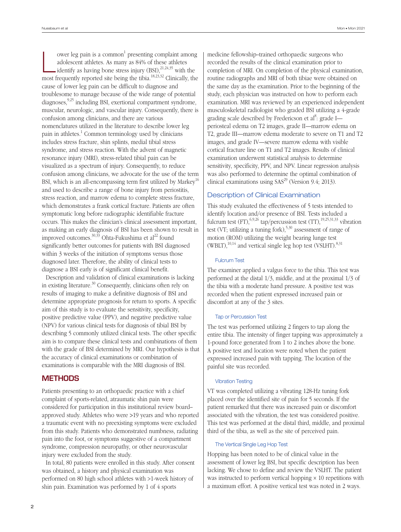ower leg pain is a common<sup>1</sup> presenting complaint among<br>adolescent athletes. As many as 84% of these athletes<br>identify as having bone stress injury (BSI),<sup>21,24,35</sup> with the ower leg pain is a common<sup>1</sup> presenting complaint among adolescent athletes. As many as 84% of these athletes most frequently reported site being the tibia.18,23,32 Clinically, the cause of lower leg pain can be difficult to diagnose and troublesome to manage because of the wide range of potential  $diagnoses, <sup>9,25</sup> including BSI, external compartment syndrome,$ muscular, neurologic, and vascular injury. Consequently, there is confusion among clinicians, and there are various nomenclatures utilized in the literature to describe lower leg pain in athletes.<sup>1</sup> Common terminology used by clinicians includes stress fracture, shin splints, medial tibial stress syndrome, and stress reaction. With the advent of magnetic resonance injury (MRI), stress-related tibial pain can be visualized as a spectrum of injury. Consequently, to reduce confusion among clinicians, we advocate for the use of the term BSI, which is an all-encompassing term first utilized by Markey<sup>16</sup> and used to describe a range of bone injury from periostitis, stress reaction, and marrow edema to complete stress fracture, which demonstrates a frank cortical fracture. Patients are often symptomatic long before radiographic identifiable fracture occurs. This makes the clinician's clinical assessment important, as making an early diagnosis of BSI has been shown to result in improved outcomes.<sup>30,33</sup> Ohta-Fukushima et al<sup>22</sup> found significantly better outcomes for patients with BSI diagnosed within 3 weeks of the initiation of symptoms versus those diagnosed later. Therefore, the ability of clinical tests to diagnose a BSI early is of significant clinical benefit.

Description and validation of clinical examinations is lacking in existing literature.<sup>30</sup> Consequently, clinicians often rely on results of imaging to make a definitive diagnosis of BSI and determine appropriate prognosis for return to sports. A specific aim of this study is to evaluate the sensitivity, specificity, positive predictive value (PPV), and negative predictive value (NPV) for various clinical tests for diagnosis of tibial BSI by describing 5 commonly utilized clinical tests. The other specific aim is to compare these clinical tests and combinations of them with the grade of BSI determined by MRI. Our hypothesis is that the accuracy of clinical examinations or combination of examinations is comparable with the MRI diagnosis of BSI.

#### **METHODS**

Patients presenting to an orthopaedic practice with a chief complaint of sports-related, atraumatic shin pain were considered for participation in this institutional review board– approved study. Athletes who were >19 years and who reported a traumatic event with no preexisting symptoms were excluded from this study. Patients who demonstrated numbness, radiating pain into the foot, or symptoms suggestive of a compartment syndrome, compression neuropathy, or other neurovascular injury were excluded from the study.

In total, 80 patients were enrolled in this study. After consent was obtained, a history and physical examination was performed on 80 high school athletes with >1-week history of shin pain. Examination was performed by 1 of 4 sports

medicine fellowship–trained orthopaedic surgeons who recorded the results of the clinical examination prior to completion of MRI. On completion of the physical examination, routine radiographs and MRI of both tibiae were obtained on the same day as the examination. Prior to the beginning of the study, each physician was instructed on how to perform each examination. MRI was reviewed by an experienced independent musculoskeletal radiologist who graded BSI utilizing a 4-grade grading scale described by Fredericson et al<sup>8</sup>: grade I periosteal edema on T2 images, grade II—marrow edema on T2, grade III—marrow edema moderate to severe on T1 and T2 images, and grade IV—severe marrow edema with visible cortical fracture line on T1 and T2 images. Results of clinical examination underwent statistical analysis to determine sensitivity, specificity, PPV, and NPV. Linear regression analysis was also performed to determine the optimal combination of clinical examinations using  $SAS<sup>29</sup>$  (Version 9.4; 2013).

#### Description of Clinical Examination

This study evaluated the effectiveness of 5 tests intended to identify location and/or presence of BSI. Tests included a fulcrum test  $(FT)$ ,  $6,9,26$  tap/percussion test  $(TT)$ ,  $19,25,31,33$  vibration test (VT; utilizing a tuning fork), $5,30$  assessment of range of motion (ROM) utilizing the weight bearing lunge test  $(WBLT)$ ,<sup>10,14</sup> and vertical single leg hop test (VSLHT).<sup>8,31</sup>

#### Fulcrum Test

The examiner applied a valgus force to the tibia. This test was performed at the distal 1/3, middle, and at the proximal 1/3 of the tibia with a moderate hand pressure. A positive test was recorded when the patient expressed increased pain or discomfort at any of the 3 sites.

#### Tap or Percussion Test

The test was performed utilizing 2 fingers to tap along the entire tibia. The intensity of finger tapping was approximately a 1-pound force generated from 1 to 2 inches above the bone. A positive test and location were noted when the patient expressed increased pain with tapping. The location of the painful site was recorded.

#### Vibration Testing

VT was completed utilizing a vibrating 128-Hz tuning fork placed over the identified site of pain for 5 seconds. If the patient remarked that there was increased pain or discomfort associated with the vibration, the test was considered positive. This test was performed at the distal third, middle, and proximal third of the tibia, as well as the site of perceived pain.

#### The Vertical Single Leg Hop Test

Hopping has been noted to be of clinical value in the assessment of lower leg BSI, but specific description has been lacking. We chose to define and review the VSLHT. The patient was instructed to perform vertical hopping × 10 repetitions with a maximum effort. A positive vertical test was noted in 2 ways.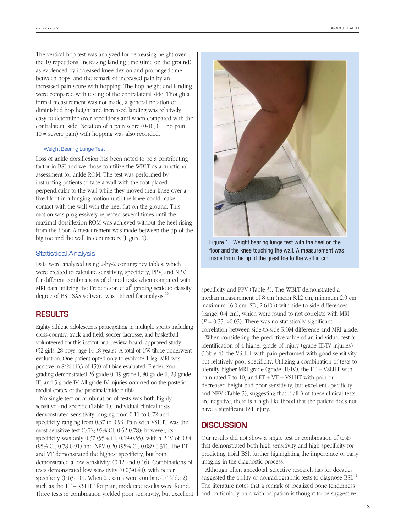The vertical hop test was analyzed for decreasing height over the 10 repetitions, increasing landing time (time on the ground) as evidenced by increased knee flexion and prolonged time between hops, and the remark of increased pain by an increased pain score with hopping. The hop height and landing were compared with testing of the contralateral side. Though a formal measurement was not made, a general notation of diminished hop height and increased landing was relatively easy to determine over repetitions and when compared with the contralateral side. Notation of a pain score  $(0-10; 0 =$  no pain,  $10 =$  severe pain) with hopping was also recorded.

#### Weight Bearing Lunge Test

Loss of ankle dorsiflexion has been noted to be a contributing factor in BSI and we chose to utilize the WBLT as a functional assessment for ankle ROM. The test was performed by instructing patients to face a wall with the foot placed perpendicular to the wall while they moved their knee over a fixed foot in a lunging motion until the knee could make contact with the wall with the heel flat on the ground. This motion was progressively repeated several times until the maximal dorsiflexion ROM was achieved without the heel rising from the floor. A measurement was made between the tip of the big toe and the wall in centimeters (Figure 1).

#### Statistical Analysis

Data were analyzed using 2-by-2 contingency tables, which were created to calculate sensitivity, specificity, PPV, and NPV for different combinations of clinical tests when compared with MRI data utilizing the Fredericson et al<sup>8</sup> grading scale to classify degree of BSI. SAS software was utilized for analysis.<sup>29</sup>

#### **RESULTS**

Eighty athletic adolescents participating in multiple sports including cross-country, track and field, soccer, lacrosse, and basketball volunteered for this institutional review board–approved study (52 girls, 28 boys; age 14-18 years). A total of 159 tibiae underwent evaluation. One patient opted only to evaluate 1 leg. MRI was positive in 84% (133 of 159) of tibiae evaluated. Fredericson grading demonstrated 26 grade 0, 19 grade I, 80 grade II, 29 grade III, and 5 grade IV. All grade IV injuries occurred on the posterior medial cortex of the proximal/middle tibia.

No single test or combination of tests was both highly sensitive and specific (Table 1). Individual clinical tests demonstrated sensitivity ranging from 0.11 to 0.72 and specificity ranging from 0.37 to 0.93. Pain with VSLHT was the most sensitive test (0.72; 95% CI, 0.62-0.78); however, its specificity was only 0.37 (95% CI, 0.19-0.55), with a PPV of 0.84 (95% CI, 0.78-0.91) and NPV 0.20 (95% CI, 0.089-0.31). The FT and VT demonstrated the highest specificity, but both demonstrated a low sensitivity. (0.12 and 0.16). Combinations of tests demonstrated low sensitivity (0.03-0.40), with better specificity (0.63-1.0). When 2 exams were combined (Table 2), such as the TT + VSLHT for pain, moderate results were found. Three tests in combination yielded poor sensitivity, but excellent



Figure 1. Weight bearing lunge test with the heel on the floor and the knee touching the wall. A measurement was made from the tip of the great toe to the wall in cm.

specificity and PPV (Table 3). The WBLT demonstrated a median measurement of 8 cm (mean 8.12 cm, minimum 2.0 cm, maximum 16.0 cm; SD, 2.6106) with side-to-side differences (range, 0-4 cm), which were found to not correlate with MRI  $(P = 0.55; >0.05)$ . There was no statistically significant correlation between side-to-side ROM difference and MRI grade.

When considering the predictive value of an individual test for identification of a higher grade of injury (grade III/IV injuries) (Table 4), the VSLHT with pain performed with good sensitivity, but relatively poor specificity. Utilizing a combination of tests to identify higher MRI grade (grade III/IV), the FT + VSLHT with pain rated 7 to 10, and  $FT + VT + VSLHT$  with pain or decreased height had poor sensitivity, but excellent specificity and NPV (Table 5), suggesting that if all 3 of these clinical tests are negative, there is a high likelihood that the patient does not have a significant BSI injury.

#### **DISCUSSION**

Our results did not show a single test or combination of tests that demonstrated both high sensitivity and high specificity for predicting tibial BSI, further highlighting the importance of early imaging in the diagnostic process.

Although often anecdotal, selective research has for decades suggested the ability of nonradiographic tests to diagnose BSI.<sup>31</sup> The literature notes that a remark of localized bone tenderness and particularly pain with palpation is thought to be suggestive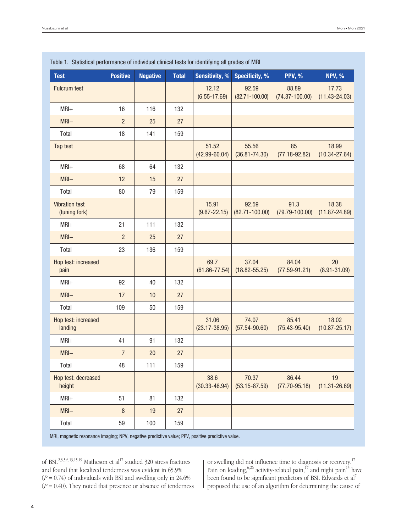| <b>Test</b>                            | <b>Positive</b> | <b>Negative</b> | <b>Total</b> | <b>Sensitivity, %</b>      | <b>Specificity, %</b>       | <b>PPV, %</b>               | <b>NPV, %</b>              |
|----------------------------------------|-----------------|-----------------|--------------|----------------------------|-----------------------------|-----------------------------|----------------------------|
| <b>Fulcrum test</b>                    |                 |                 |              | 12.12<br>$(6.55 - 17.69)$  | 92.59<br>$(82.71 - 100.00)$ | 88.89<br>$(74.37 - 100.00)$ | 17.73<br>$(11.43 - 24.03)$ |
| $MRI+$                                 | 16              | 116             | 132          |                            |                             |                             |                            |
| $MRI -$                                | $\overline{c}$  | 25              | 27           |                            |                             |                             |                            |
| Total                                  | 18              | 141             | 159          |                            |                             |                             |                            |
| Tap test                               |                 |                 |              | 51.52<br>$(42.99 - 60.04)$ | 55.56<br>$(36.81 - 74.30)$  | 85<br>$(77.18 - 92.82)$     | 18.99<br>$(10.34 - 27.64)$ |
| $MRI+$                                 | 68              | 64              | 132          |                            |                             |                             |                            |
| $MRI -$                                | 12              | 15              | 27           |                            |                             |                             |                            |
| Total                                  | 80              | 79              | 159          |                            |                             |                             |                            |
| <b>Vibration test</b><br>(tuning fork) |                 |                 |              | 15.91<br>$(9.67 - 22.15)$  | 92.59<br>$(82.71 - 100.00)$ | 91.3<br>$(79.79 - 100.00)$  | 18.38<br>$(11.87 - 24.89)$ |
| $MRI+$                                 | 21              | 111             | 132          |                            |                             |                             |                            |
| $MRI -$                                | $\overline{c}$  | 25              | 27           |                            |                             |                             |                            |
| Total                                  | 23              | 136             | 159          |                            |                             |                             |                            |
| Hop test: increased<br>pain            |                 |                 |              | 69.7<br>$(61.86 - 77.54)$  | 37.04<br>$(18.82 - 55.25)$  | 84.04<br>$(77.59 - 91.21)$  | 20<br>$(8.91 - 31.09)$     |
| $MRI+$                                 | 92              | 40              | 132          |                            |                             |                             |                            |
| $MRI -$                                | 17              | 10              | 27           |                            |                             |                             |                            |
| Total                                  | 109             | 50              | 159          |                            |                             |                             |                            |
| Hop test: increased<br>landing         |                 |                 |              | 31.06<br>$(23.17 - 38.95)$ | 74.07<br>$(57.54 - 90.60)$  | 85.41<br>$(75.43 - 95.40)$  | 18.02<br>$(10.87 - 25.17)$ |
| $MRI+$                                 | 41              | 91              | 132          |                            |                             |                             |                            |
| $MRI -$                                | $\overline{7}$  | 20              | 27           |                            |                             |                             |                            |
| Total                                  | 48              | 111             | 159          |                            |                             |                             |                            |
| Hop test: decreased<br>height          |                 |                 |              | 38.6<br>$(30.33 - 46.94)$  | 70.37<br>$(53.15 - 87.59)$  | 86.44<br>$(77.70 - 95.18)$  | 19<br>$(11.31 - 26.69)$    |
| $MRI+$                                 | 51              | 81              | 132          |                            |                             |                             |                            |
| $MRI -$                                | $\, 8$          | 19              | 27           |                            |                             |                             |                            |
| Total                                  | 59              | 100             | 159          |                            |                             |                             |                            |

#### Table 1. Statistical performance of individual clinical tests for identifying all grades of MRI

MRI, magnetic resonance imaging; NPV, negative predictive value; PPV, positive predictive value.

of BSI. $^{2,3,5,6,13,15,19}$  Matheson et  $\rm{al}^{17}$  studied 320 stress fractures and found that localized tenderness was evident in 65.9%  $(P = 0.74)$  of individuals with BSI and swelling only in 24.6%  $(P = 0.40)$ . They noted that presence or absence of tenderness

or swelling did not influence time to diagnosis or recovery.<sup>17</sup> Pain on loading,  $6,26$  activity-related pain, <sup>17</sup> and night pain<sup>15</sup> have been found to be significant predictors of BSI. Edwards et al<sup>7</sup> proposed the use of an algorithm for determining the cause of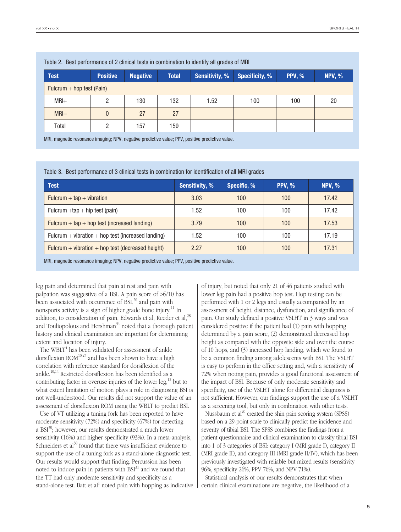| $1000$ $\mu$ , boot portormanoo or $\mu$ omnoar tooto in compilation to labiting an gradoo or mini- |                 |                 |              |                       |                       |               |               |
|-----------------------------------------------------------------------------------------------------|-----------------|-----------------|--------------|-----------------------|-----------------------|---------------|---------------|
| <b>Test</b>                                                                                         | <b>Positive</b> | <b>Negative</b> | <b>Total</b> | <b>Sensitivity, %</b> | <b>Specificity, %</b> | <b>PPV, %</b> | <b>NPV, %</b> |
| Fulcrum + hop test (Pain)                                                                           |                 |                 |              |                       |                       |               |               |
| $MRI+$                                                                                              |                 | 130             | 132          | 1.52                  | 100                   | 100           | 20            |
| $MRI -$                                                                                             | 0               | 27              | 27           |                       |                       |               |               |
| Total                                                                                               | റ               | 157             | 159          |                       |                       |               |               |
|                                                                                                     |                 |                 |              |                       |                       |               |               |

|  |  | Table 2. Best performance of 2 clinical tests in combination to identify all grades of MRI |  |  |  |  |  |  |  |  |  |  |
|--|--|--------------------------------------------------------------------------------------------|--|--|--|--|--|--|--|--|--|--|
|--|--|--------------------------------------------------------------------------------------------|--|--|--|--|--|--|--|--|--|--|

MRI, magnetic resonance imaging; NPV, negative predictive value; PPV, positive predictive value.

Table 3. Best performance of 3 clinical tests in combination for identification of all MRI grades

| <b>Test</b>                                        | <b>Sensitivity, %</b> | Specific, % | <b>PPV, %</b> | <b>NPV, %</b> |
|----------------------------------------------------|-----------------------|-------------|---------------|---------------|
| Fulcrum $+$ tap $+$ vibration                      | 3.03                  | 100         | 100           | 17.42         |
| Fulcrum $+$ tap $+$ hip test (pain)                | 1.52                  | 100         | 100           | 17.42         |
| Fulcrum + $\tan$ + hop test (increased landing)    | 3.79                  | 100         | 100           | 17.53         |
| Fulcrum + vibration + hop test (increased landing) | 1.52                  | 100         | 100           | 17.19         |
| Fulcrum + vibration + hop test (decreased height)  | 2.27                  | 100         | 100           | 17.31         |

MRI, magnetic resonance imaging; NPV, negative predictive value; PPV, positive predictive value.

leg pain and determined that pain at rest and pain with palpation was suggestive of a BSI. A pain score of >6/10 has been associated with occurrence of  $BSI$ ,<sup>20</sup> and pain with nonsports activity is a sign of higher grade bone injury.<sup>11</sup> In addition, to consideration of pain, Edwards et al, Reeder et al,<sup>28</sup> and Touliopolous and Hershman $34$  noted that a thorough patient history and clinical examination are important for determining extent and location of injury.

The WBLT<sup>4</sup> has been validated for assessment of ankle dorsiflexion  $ROM^{10,27}$  and has been shown to have a high correlation with reference standard for dorsiflexion of the ankle.10,14 Restricted dorsiflexion has been identified as a contributing factor in overuse injuries of the lower leg, $^{12}$  but to what extent limitation of motion plays a role in diagnosing BSI is not well-understood. Our results did not support the value of an assessment of dorsiflexion ROM using the WBLT to predict BSI.

Use of VT utilizing a tuning fork has been reported to have moderate sensitivity (72%) and specificity (67%) for detecting a  $BSI^{30}$ ; however, our results demonstrated a much lower sensitivity (16%) and higher specificity (93%). In a meta-analysis, Schneiders et  $a^{30}$  found that there was insufficient evidence to support the use of a tuning fork as a stand-alone diagnostic test. Our results would support that finding. Percussion has been noted to induce pain in patients with  $BSI<sup>31</sup>$  and we found that the TT had only moderate sensitivity and specificity as a stand-alone test. Batt et al<sup>1</sup> noted pain with hopping as indicative

of injury, but noted that only 21 of 46 patients studied with lower leg pain had a positive hop test. Hop testing can be performed with 1 or 2 legs and usually accompanied by an assessment of height, distance, dysfunction, and significance of pain. Our study defined a positive VSLHT in 3 ways and was considered positive if the patient had (1) pain with hopping determined by a pain score, (2) demonstrated decreased hop height as compared with the opposite side and over the course of 10 hops, and (3) increased hop landing, which we found to be a common finding among adolescents with BSI. The VSLHT is easy to perform in the office setting and, with a sensitivity of 72% when noting pain, provides a good functional assessment of the impact of BSI. Because of only moderate sensitivity and specificity, use of the VSLHT alone for differential diagnosis is not sufficient. However, our findings support the use of a VSLHT as a screening tool, but only in combination with other tests.

Nussbaum et al $^{20}$  created the shin pain scoring system (SPSS) based on a 29-point scale to clinically predict the incidence and severity of tibial BSI. The SPSS combines the findings from a patient questionnaire and clinical examination to classify tibial BSI into 1 of 3 categories of BSI: category I (MRI grade I), category II (MRI grade II), and category III (MRI grade II/IV), which has been previously investigated with reliable but mixed results (sensitivity 96%, specificity 26%, PPV 76%, and NPV 71%).

Statistical analysis of our results demonstrates that when certain clinical examinations are negative, the likelihood of a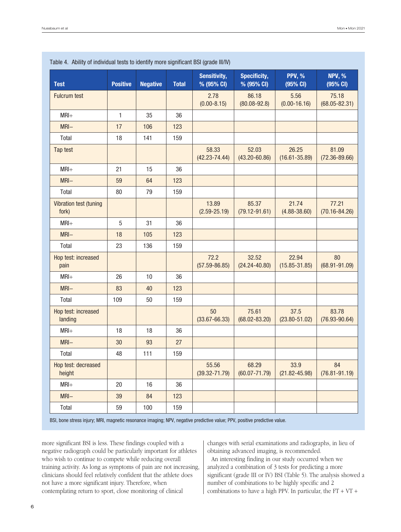|                                 |                 |                 |              | <b>Sensitivity,</b>        | <b>Specificity,</b>        | <b>PPV, %</b>              | <b>NPV, %</b>              |
|---------------------------------|-----------------|-----------------|--------------|----------------------------|----------------------------|----------------------------|----------------------------|
| <b>Test</b>                     | <b>Positive</b> | <b>Negative</b> | <b>Total</b> | % (95% CI)                 | % (95% CI)                 | (95% CI)                   | (95% CI)                   |
| <b>Fulcrum test</b>             |                 |                 |              | 2.78<br>$(0.00 - 8.15)$    | 86.18<br>$(80.08 - 92.8)$  | 5.56<br>$(0.00 - 16.16)$   | 75.18<br>$(68.05 - 82.31)$ |
| $MRI+$                          | $\mathbf{1}$    | 35              | 36           |                            |                            |                            |                            |
| $MRI -$                         | 17              | 106             | 123          |                            |                            |                            |                            |
| Total                           | 18              | 141             | 159          |                            |                            |                            |                            |
| Tap test                        |                 |                 |              | 58.33<br>$(42.23 - 74.44)$ | 52.03<br>$(43.20 - 60.86)$ | 26.25<br>$(16.61 - 35.89)$ | 81.09<br>$(72.36 - 89.66)$ |
| $MRI+$                          | 21              | 15              | 36           |                            |                            |                            |                            |
| $MRI -$                         | 59              | 64              | 123          |                            |                            |                            |                            |
| Total                           | 80              | 79              | 159          |                            |                            |                            |                            |
| Vibration test (tuning<br>fork) |                 |                 |              | 13.89<br>$(2.59 - 25.19)$  | 85.37<br>$(79.12 - 91.61)$ | 21.74<br>$(4.88 - 38.60)$  | 77.21<br>$(70.16 - 84.26)$ |
| $MRI+$                          | $\overline{5}$  | 31              | 36           |                            |                            |                            |                            |
| $MRI -$                         | 18              | 105             | 123          |                            |                            |                            |                            |
| Total                           | 23              | 136             | 159          |                            |                            |                            |                            |
| Hop test: increased<br>pain     |                 |                 |              | 72.2<br>$(57.59 - 86.85)$  | 32.52<br>$(24.24 - 40.80)$ | 22.94<br>$(15.85 - 31.85)$ | 80<br>$(68.91 - 91.09)$    |
| $MRI+$                          | 26              | 10              | 36           |                            |                            |                            |                            |
| $MRI -$                         | 83              | 40              | 123          |                            |                            |                            |                            |
| Total                           | 109             | 50              | 159          |                            |                            |                            |                            |
| Hop test: increased<br>landing  |                 |                 |              | 50<br>$(33.67 - 66.33)$    | 75.61<br>$(68.02 - 83.20)$ | 37.5<br>$(23.80 - 51.02)$  | 83.78<br>$(76.93 - 90.64)$ |
| $MRI+$                          | 18              | 18              | 36           |                            |                            |                            |                            |
| $MRI -$                         | 30              | 93              | 27           |                            |                            |                            |                            |
| Total                           | 48              | 111             | 159          |                            |                            |                            |                            |
| Hop test: decreased<br>height   |                 |                 |              | 55.56<br>$(39.32 - 71.79)$ | 68.29<br>$(60.07 - 71.79)$ | 33.9<br>$(21.82 - 45.98)$  | 84<br>$(76.81 - 91.19)$    |
| $MRI+$                          | 20              | 16              | 36           |                            |                            |                            |                            |
| MRI-                            | 39              | 84              | 123          |                            |                            |                            |                            |
| Total                           | 59              | 100             | 159          |                            |                            |                            |                            |

Table 4. Ability of individual tests to identify more significant BSI (grade III/IV)

BSI, bone stress injury; MRI, magnetic resonance imaging; NPV, negative predictive value; PPV, positive predictive value.

more significant BSI is less. These findings coupled with a negative radiograph could be particularly important for athletes who wish to continue to compete while reducing overall training activity. As long as symptoms of pain are not increasing, clinicians should feel relatively confident that the athlete does not have a more significant injury. Therefore, when contemplating return to sport, close monitoring of clinical

changes with serial examinations and radiographs, in lieu of obtaining advanced imaging, is recommended.

An interesting finding in our study occurred when we analyzed a combination of 3 tests for predicting a more significant (grade III or IV) BSI (Table 5). The analysis showed a number of combinations to be highly specific and 2 combinations to have a high PPV. In particular, the  $FT + VT +$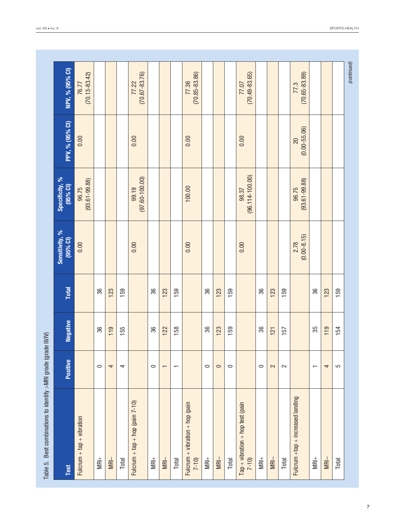| Best combinations to identify >MRI grade (grade III/IV)<br>Table 5. |                          |                 |              |                            |                              |                        |                            |
|---------------------------------------------------------------------|--------------------------|-----------------|--------------|----------------------------|------------------------------|------------------------|----------------------------|
| <b>Test</b>                                                         | Positive                 | <b>Negative</b> | <b>Total</b> | Sensitivity, %<br>(95% CI) | Specificity, %<br>$(95%$ CI) | PPV, % (95% CI)        | NPV, % (95% CI)            |
| $Fulcrum + tap + vibration$                                         |                          |                 |              | 0.00                       | $(93.61 - 99.88)$<br>96.75   | 0.00                   | $(70.13 - 83.42)$<br>76.77 |
| $M +$                                                               | $\circ$                  | 36              | 36           |                            |                              |                        |                            |
| $M =$                                                               | 4                        | 119             | 123          |                            |                              |                        |                            |
| Total                                                               | 4                        | 155             | 159          |                            |                              |                        |                            |
| Fulcrum + tap + hop (pain $7-10$ )                                  |                          |                 |              | 0.00                       | $(97.60 - 100.00)$<br>99.19  | 0.00                   | $(70.67 - 83.76)$<br>77.22 |
| $M +$                                                               | $\circ$                  | 36              | 36           |                            |                              |                        |                            |
| $M =$                                                               | $\mathbf{\tau}$          | 122             | 123          |                            |                              |                        |                            |
| Total                                                               | $\overline{\phantom{0}}$ | 158             | 159          |                            |                              |                        |                            |
| Fulcrum + vibration + hop (pain<br>$7 - 10$                         |                          |                 |              | 0.00                       | 100.00                       | 0.00                   | $(70.85 - 83.86)$<br>77.36 |
| $MBI +$                                                             | $\circ$                  | 36              | 36           |                            |                              |                        |                            |
| $M =$                                                               | $\circ$                  | 123             | 123          |                            |                              |                        |                            |
| Total                                                               | $\circ$                  | 159             | 159          |                            |                              |                        |                            |
| $Tap + vibration + hop test (pain)$<br>$7 - 10$                     |                          |                 |              | 0.00                       | $(96.114 - 100.00)$<br>98.37 | 0.00                   | $(70.49 - 83.65)$<br>77.07 |
| $M +$                                                               | $\circ$                  | 36              | 36           |                            |                              |                        |                            |
| $M =$                                                               | 2                        | 121             | 123          |                            |                              |                        |                            |
| Total                                                               | $\sim$                   | 157             | 159          |                            |                              |                        |                            |
| Fulcrum $+$ tap $+$ increased landing                               |                          |                 |              | $(0.00 - 8.15)$<br>2.78    | $(93.61 - 99.88)$<br>96.75   | $(0.00 - 55.06)$<br>20 | $(70.65 - 83.89)$<br>77.3  |
| $MR+$                                                               | $\overline{\phantom{0}}$ | 35              | 36           |                            |                              |                        |                            |
| $MRI-$                                                              | 4                        | 119             | 123          |                            |                              |                        |                            |
| Total                                                               | 5                        | 154             | 159          |                            |                              |                        |                            |
|                                                                     |                          |                 |              |                            |                              |                        | (continued)                |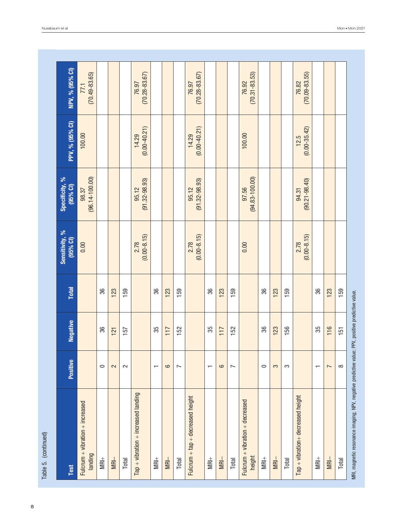| Table 5. (continued)                                                                             |                          |                 |              |                            |                              |                           |                            |
|--------------------------------------------------------------------------------------------------|--------------------------|-----------------|--------------|----------------------------|------------------------------|---------------------------|----------------------------|
| Test                                                                                             | Positive                 | <b>Negative</b> | <b>Total</b> | Sensitivity, %<br>(95% Cl) | Specificity, %<br>$(95%$ CI) | PPV, % (95% CI)           | NPV, % (95% CI)            |
| $Fulcrum + vibration + increase$<br>landing                                                      |                          |                 |              | 0.00                       | $(96.14 - 100.00)$<br>98.37  | 100.00                    | $(70.49 - 83.65)$<br>77.1  |
| $M +$                                                                                            | $\circ$                  | 36              | 36           |                            |                              |                           |                            |
| $MRI-$                                                                                           | 2                        | 121             | 123          |                            |                              |                           |                            |
| Total                                                                                            | $\mathbf{z}$             | 157             | 159          |                            |                              |                           |                            |
| $Tap + vibration + increased landing$                                                            |                          |                 |              | $(0.00 - 8.15)$<br>2.78    | $(91.32 - 98.93)$<br>95.12   | $(0.00 - 40.21)$<br>14.29 | $(70.28 - 83.67)$<br>76.97 |
| $MRH+$                                                                                           | $\overline{\phantom{0}}$ | 35              | 36           |                            |                              |                           |                            |
| $M =$                                                                                            | 9                        | 117             | 123          |                            |                              |                           |                            |
| Total                                                                                            | $\overline{ }$           | 152             | 159          |                            |                              |                           |                            |
| Fulcrum + tap + decreased height                                                                 |                          |                 |              | $(0.00 - 8.15)$<br>2.78    | $(91.32 - 98.93)$<br>95.12   | $(0.00 - 40.21)$<br>14.29 | $(70.28 - 83.67)$<br>76.97 |
| $MR+$                                                                                            | $\overline{\phantom{0}}$ | 35              | 36           |                            |                              |                           |                            |
| $M =$                                                                                            | 9                        | 117             | 123          |                            |                              |                           |                            |
| Total                                                                                            | $\overline{ }$           | 152             | 159          |                            |                              |                           |                            |
| Fulcrum + vibration + decreased<br>height                                                        |                          |                 |              | 0.00                       | $(94.83 - 100.00)$<br>97.56  | 100.00                    | $(70.31 - 83.53)$<br>76.92 |
| $M +$                                                                                            | $\circ$                  | 36              | 36           |                            |                              |                           |                            |
| $MRI-$                                                                                           | 3                        | 123             | 123          |                            |                              |                           |                            |
| Total                                                                                            | S                        | 156             | 159          |                            |                              |                           |                            |
| Tap + vibration+ decreased height                                                                |                          |                 |              | $(0.00 - 8.15)$<br>2.78    | $(90.21 - 98.40)$<br>94.31   | $(0.00 - 35.42)$<br>12.5  | $(70.09 - 83.55)$<br>76.82 |
| $M +$                                                                                            | $\overline{\phantom{0}}$ | 35              | 36           |                            |                              |                           |                            |
| $MRI-$                                                                                           | $\overline{ }$           | 116             | 123          |                            |                              |                           |                            |
| Total                                                                                            | $\infty$                 | 151             | 159          |                            |                              |                           |                            |
| MRI, magnetic resonance imaging; NPV, negative predictive value; PPV, positive predictive value. |                          |                 |              |                            |                              |                           |                            |